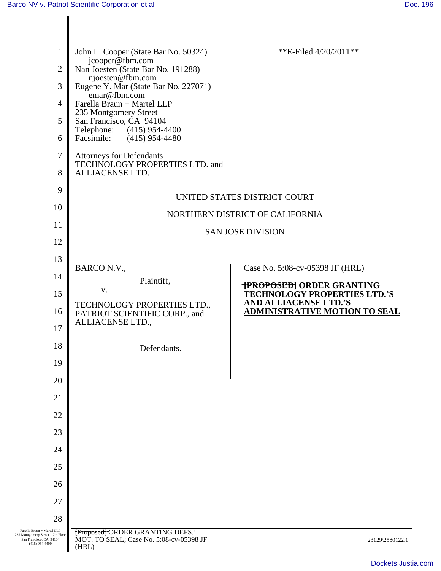| $\mathbf{1}$                                                                               | John L. Cooper (State Bar No. 50324)                                        | **E-Filed $4/20/2011**$                                              |
|--------------------------------------------------------------------------------------------|-----------------------------------------------------------------------------|----------------------------------------------------------------------|
| $\mathfrak{2}$                                                                             | jcooper@fbm.com<br>Nan Joesten (State Bar No. 191288)                       |                                                                      |
| 3                                                                                          | njoesten@fbm.com<br>Eugene Y. Mar (State Bar No. 227071)                    |                                                                      |
| $\overline{4}$                                                                             | emar@fbm.com<br>Farella Braun + Martel LLP                                  |                                                                      |
| 5                                                                                          | 235 Montgomery Street<br>San Francisco, CA 94104                            |                                                                      |
| 6                                                                                          | Telephone:<br>$(415)$ 954-4400<br>$(415)$ 954-4480<br>Facsimile:            |                                                                      |
| 7                                                                                          | <b>Attorneys for Defendants</b>                                             |                                                                      |
| 8                                                                                          | TECHNOLOGY PROPERTIES LTD. and<br>ALLIACENSE LTD.                           |                                                                      |
| 9                                                                                          |                                                                             | UNITED STATES DISTRICT COURT                                         |
| 10                                                                                         |                                                                             | NORTHERN DISTRICT OF CALIFORNIA                                      |
| 11                                                                                         |                                                                             | <b>SAN JOSE DIVISION</b>                                             |
| 12                                                                                         |                                                                             |                                                                      |
| 13                                                                                         |                                                                             |                                                                      |
| 14                                                                                         | BARCO N.V.,<br>Plaintiff,                                                   | Case No. 5:08-cv-05398 JF (HRL)                                      |
| 15                                                                                         | V.                                                                          | -[PROPOSED] ORDER GRANTING<br><b>TECHNOLOGY PROPERTIES LTD.'S</b>    |
| 16                                                                                         | TECHNOLOGY PROPERTIES LTD.,<br>PATRIOT SCIENTIFIC CORP., and                | <b>AND ALLIACENSE LTD.'S</b><br><b>ADMINISTRATIVE MOTION TO SEAL</b> |
| 17                                                                                         | ALLIACENSE LTD.,                                                            |                                                                      |
| 18                                                                                         | Defendants.                                                                 |                                                                      |
| 19                                                                                         |                                                                             |                                                                      |
| 20                                                                                         |                                                                             |                                                                      |
| 21                                                                                         |                                                                             |                                                                      |
| 22                                                                                         |                                                                             |                                                                      |
| 23                                                                                         |                                                                             |                                                                      |
| 24                                                                                         |                                                                             |                                                                      |
| 25                                                                                         |                                                                             |                                                                      |
| 26                                                                                         |                                                                             |                                                                      |
| 27                                                                                         |                                                                             |                                                                      |
| 28                                                                                         |                                                                             |                                                                      |
| Farella Braun + Martel LLP<br>235 Montgomery Street, 17th Floor<br>San Francisco, CA 94104 | [Proposed]-ORDER GRANTING DEFS.'<br>MOT. TO SEAL; Case No. 5:08-cv-05398 JF | 23129\2580122.1                                                      |
| $(415)$ 954-4400                                                                           | (HRL)                                                                       |                                                                      |